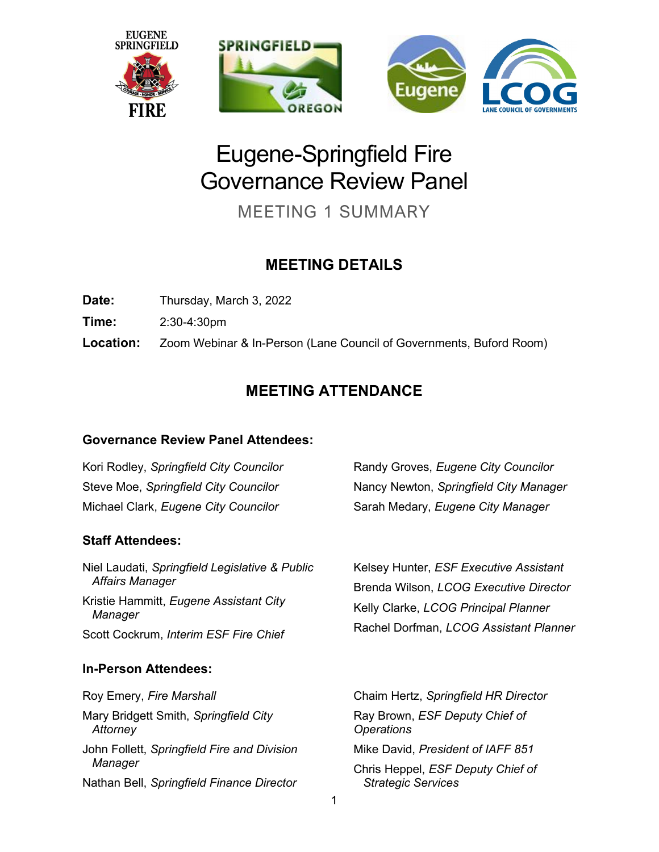

# Eugene-Springfield Fire Governance Review Panel

MEETING 1 SUMMARY

# **MEETING DETAILS**

**Date:** Thursday, March 3, 2022

**Time:** 2:30-4:30pm

**Location:** Zoom Webinar & In-Person (Lane Council of Governments, Buford Room)

# **MEETING ATTENDANCE**

#### **Governance Review Panel Attendees:**

Kori Rodley, *Springfield City Councilor* Steve Moe, *Springfield City Councilor* Michael Clark, *Eugene City Councilor*

## **Staff Attendees:**

Niel Laudati, *Springfield Legislative & Public Affairs Manager* Kristie Hammitt, *Eugene Assistant City Manager* Scott Cockrum, *Interim ESF Fire Chief*

## **In-Person Attendees:**

Roy Emery, *Fire Marshall* Mary Bridgett Smith, *Springfield City Attorney* John Follett, *Springfield Fire and Division Manager* Nathan Bell, *Springfield Finance Director* 

Randy Groves, *Eugene City Councilor* Nancy Newton, *Springfield City Manager* Sarah Medary, *Eugene City Manager*

Kelsey Hunter, *ESF Executive Assistant* Brenda Wilson, *LCOG Executive Director* Kelly Clarke, *LCOG Principal Planner* Rachel Dorfman, *LCOG Assistant Planner*

Chaim Hertz, *Springfield HR Director*  Ray Brown, *ESF Deputy Chief of Operations* Mike David, *President of IAFF 851* Chris Heppel, *ESF Deputy Chief of Strategic Services*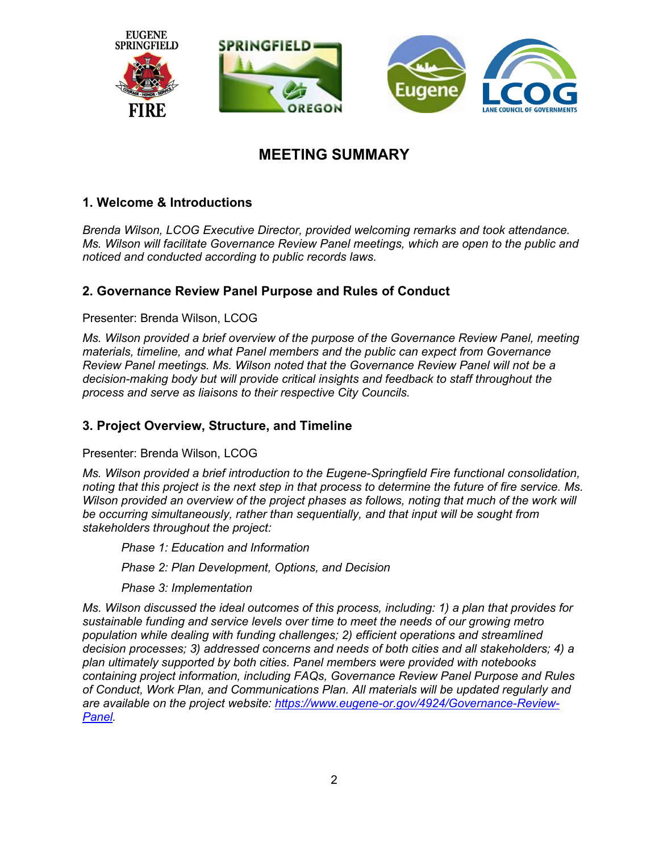

# **MEETING SUMMARY**

#### **1. Welcome & Introductions**

*Brenda Wilson, LCOG Executive Director, provided welcoming remarks and took attendance. Ms. Wilson will facilitate Governance Review Panel meetings, which are open to the public and noticed and conducted according to public records laws.* 

#### **2. Governance Review Panel Purpose and Rules of Conduct**

#### Presenter: Brenda Wilson, LCOG

*Ms. Wilson provided a brief overview of the purpose of the Governance Review Panel, meeting materials, timeline, and what Panel members and the public can expect from Governance Review Panel meetings. Ms. Wilson noted that the Governance Review Panel will not be a decision-making body but will provide critical insights and feedback to staff throughout the process and serve as liaisons to their respective City Councils.*

#### **3. Project Overview, Structure, and Timeline**

#### Presenter: Brenda Wilson, LCOG

*Ms. Wilson provided a brief introduction to the Eugene-Springfield Fire functional consolidation, noting that this project is the next step in that process to determine the future of fire service. Ms. Wilson provided an overview of the project phases as follows, noting that much of the work will be occurring simultaneously, rather than sequentially, and that input will be sought from stakeholders throughout the project:*

*Phase 1: Education and Information* 

*Phase 2: Plan Development, Options, and Decision*

*Phase 3: Implementation*

*Ms. Wilson discussed the ideal outcomes of this process, including: 1) a plan that provides for sustainable funding and service levels over time to meet the needs of our growing metro population while dealing with funding challenges; 2) efficient operations and streamlined decision processes; 3) addressed concerns and needs of both cities and all stakeholders; 4) a plan ultimately supported by both cities. Panel members were provided with notebooks containing project information, including FAQs, Governance Review Panel Purpose and Rules of Conduct, Work Plan, and Communications Plan. All materials will be updated regularly and are available on the project website: [https://www.eugene-or.gov/4924/Governance-Review-](https://www.eugene-or.gov/4924/Governance-Review-Panel)[Panel.](https://www.eugene-or.gov/4924/Governance-Review-Panel)*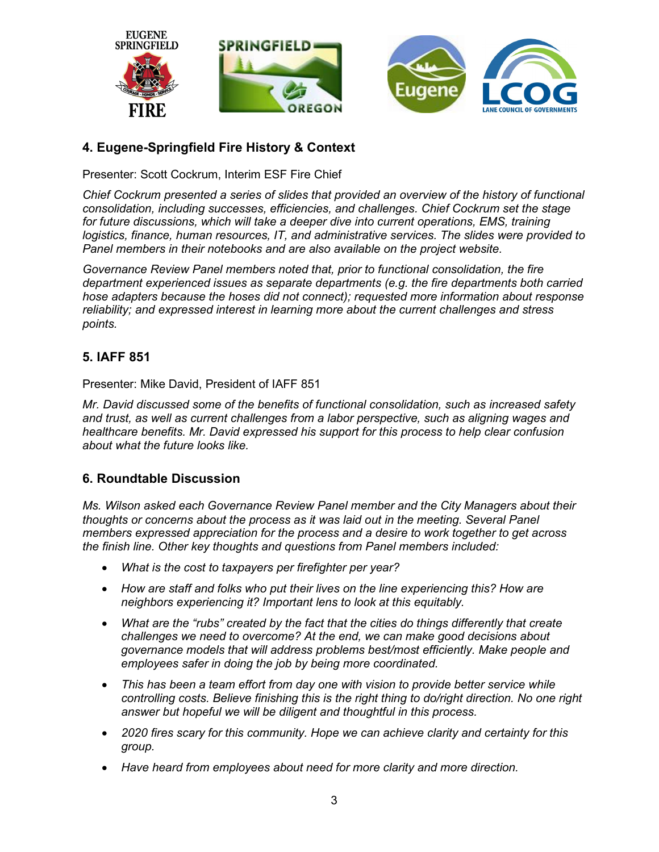

### **4. Eugene-Springfield Fire History & Context**

Presenter: Scott Cockrum, Interim ESF Fire Chief

*Chief Cockrum presented a series of slides that provided an overview of the history of functional consolidation, including successes, efficiencies, and challenges. Chief Cockrum set the stage for future discussions, which will take a deeper dive into current operations, EMS, training logistics, finance, human resources, IT, and administrative services. The slides were provided to Panel members in their notebooks and are also available on the project website.*

*Governance Review Panel members noted that, prior to functional consolidation, the fire department experienced issues as separate departments (e.g. the fire departments both carried hose adapters because the hoses did not connect); requested more information about response reliability; and expressed interest in learning more about the current challenges and stress points.*

#### **5. IAFF 851**

Presenter: Mike David, President of IAFF 851

*Mr. David discussed some of the benefits of functional consolidation, such as increased safety and trust, as well as current challenges from a labor perspective, such as aligning wages and healthcare benefits. Mr. David expressed his support for this process to help clear confusion about what the future looks like.*

#### **6. Roundtable Discussion**

*Ms. Wilson asked each Governance Review Panel member and the City Managers about their thoughts or concerns about the process as it was laid out in the meeting. Several Panel members expressed appreciation for the process and a desire to work together to get across the finish line. Other key thoughts and questions from Panel members included:*

- *What is the cost to taxpayers per firefighter per year?*
- *How are staff and folks who put their lives on the line experiencing this? How are neighbors experiencing it? Important lens to look at this equitably.*
- *What are the "rubs" created by the fact that the cities do things differently that create challenges we need to overcome? At the end, we can make good decisions about governance models that will address problems best/most efficiently. Make people and employees safer in doing the job by being more coordinated.*
- *This has been a team effort from day one with vision to provide better service while controlling costs. Believe finishing this is the right thing to do/right direction. No one right answer but hopeful we will be diligent and thoughtful in this process.*
- *2020 fires scary for this community. Hope we can achieve clarity and certainty for this group.*
- *Have heard from employees about need for more clarity and more direction.*